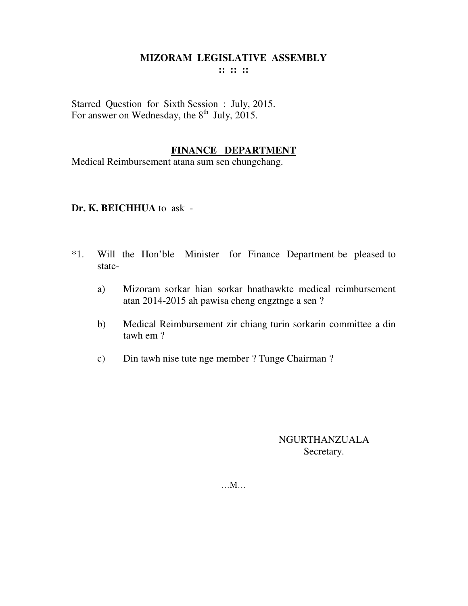# **MIZORAM LEGISLATIVE ASSEMBLY**

**:: :: ::** 

Starred Question for Sixth Session : July, 2015. For answer on Wednesday, the  $8<sup>th</sup>$  July, 2015.

#### **FINANCE DEPARTMENT**

Medical Reimbursement atana sum sen chungchang.

#### **Dr. K. BEICHHUA** to ask -

- \*1. Will the Hon'ble Minister for Finance Department be pleased to state
	- a) Mizoram sorkar hian sorkar hnathawkte medical reimbursement atan 2014-2015 ah pawisa cheng engztnge a sen ?
	- b) Medical Reimbursement zir chiang turin sorkarin committee a din tawh em ?
	- c) Din tawh nise tute nge member ? Tunge Chairman ?

# NGURTHANZUALA Secretary.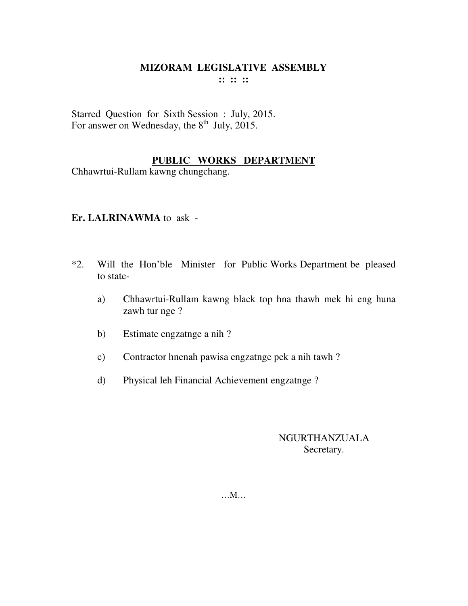Starred Question for Sixth Session : July, 2015. For answer on Wednesday, the  $8<sup>th</sup>$  July, 2015.

# **PUBLIC WORKS DEPARTMENT**

Chhawrtui-Rullam kawng chungchang.

#### **Er. LALRINAWMA** to ask -

- \*2. Will the Hon'ble Minister for Public Works Department be pleased to state
	- a) Chhawrtui-Rullam kawng black top hna thawh mek hi eng huna zawh tur nge ?
	- b) Estimate engzatnge a nih ?
	- c) Contractor hnenah pawisa engzatnge pek a nih tawh ?
	- d) Physical leh Financial Achievement engzatnge ?

# NGURTHANZUALA Secretary.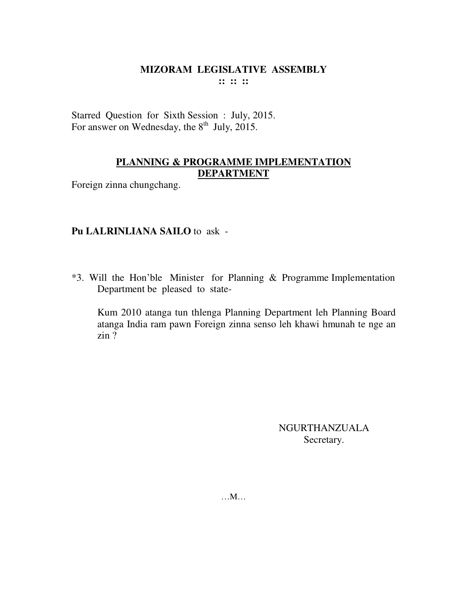Starred Question for Sixth Session : July, 2015. For answer on Wednesday, the  $8<sup>th</sup>$  July, 2015.

# **PLANNING & PROGRAMME IMPLEMENTATION DEPARTMENT**

Foreign zinna chungchang.

#### **Pu LALRINLIANA SAILO** to ask -

\*3. Will the Hon'ble Minister for Planning & Programme Implementation Department be pleased to state-

Kum 2010 atanga tun thlenga Planning Department leh Planning Board atanga India ram pawn Foreign zinna senso leh khawi hmunah te nge an zin ?

> NGURTHANZUALA Secretary.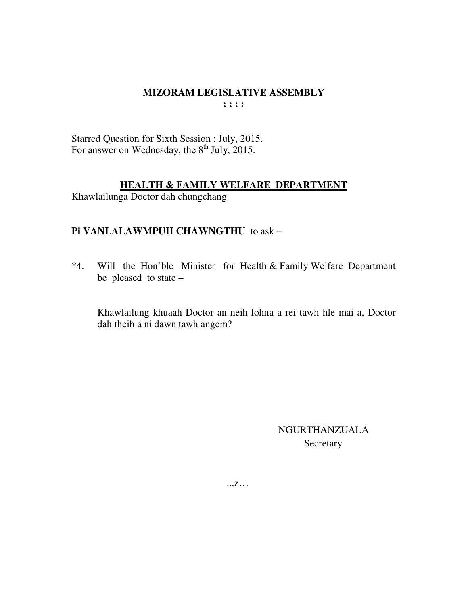Starred Question for Sixth Session : July, 2015. For answer on Wednesday, the 8<sup>th</sup> July, 2015.

#### **HEALTH & FAMILY WELFARE DEPARTMENT**

Khawlailunga Doctor dah chungchang

#### Pi VANLALAWMPUII CHAWNGTHU to ask -

 $*4.$ Will the Hon'ble Minister for Health & Family Welfare Department be pleased to state  $-$ 

Khawlailung khuaah Doctor an neih lohna a rei tawh hle mai a, Doctor dah theih a ni dawn tawh angem?

> **NGURTHANZUALA** Secretary

 $\dots Z\dots$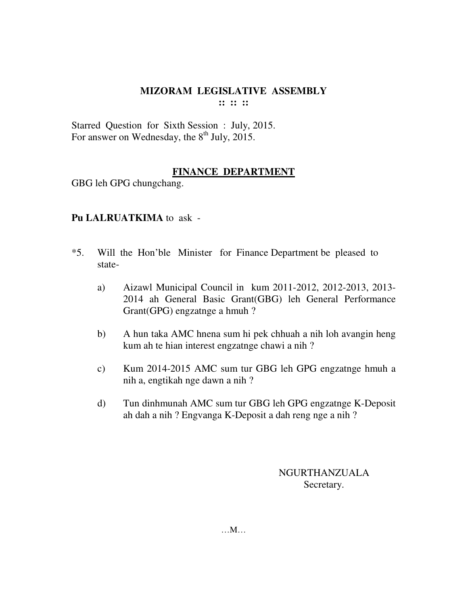Starred Question for Sixth Session : July, 2015. For answer on Wednesday, the  $8<sup>th</sup>$  July, 2015.

# **FINANCE DEPARTMENT**

GBG leh GPG chungchang.

# **Pu LALRUATKIMA** to ask -

- \*5. Will the Hon'ble Minister for Finance Department be pleased to state
	- a) Aizawl Municipal Council in kum 2011-2012, 2012-2013, 2013- 2014 ah General Basic Grant(GBG) leh General Performance Grant(GPG) engzatnge a hmuh ?
	- b) A hun taka AMC hnena sum hi pek chhuah a nih loh avangin heng kum ah te hian interest engzatnge chawi a nih ?
	- c) Kum 2014-2015 AMC sum tur GBG leh GPG engzatnge hmuh a nih a, engtikah nge dawn a nih ?
	- d) Tun dinhmunah AMC sum tur GBG leh GPG engzatnge K-Deposit ah dah a nih ? Engvanga K-Deposit a dah reng nge a nih ?

NGURTHANZUALA Secretary.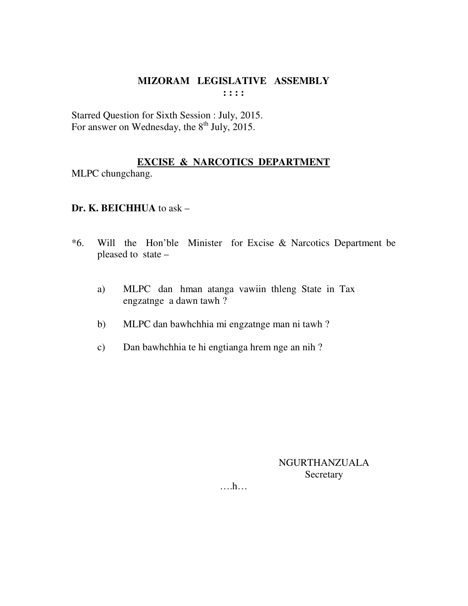Starred Question for Sixth Session : July, 2015. For answer on Wednesday, the  $8<sup>th</sup>$  July, 2015.

# **EXCISE & NARCOTICS DEPARTMENT**

MLPC chungchang.

# **Dr. K. BEICHHUA** to ask –

- \*6. Will the Hon'ble Minister for Excise & Narcotics Department be pleased to state –
	- a) MLPC dan hman atanga vawiin thleng State in Tax engzatnge a dawn tawh ?
	- b) MLPC dan bawhchhia mi engzatnge man ni tawh ?
	- c) Dan bawhchhia te hi engtianga hrem nge an nih ?

NGURTHANZUALA **Secretary**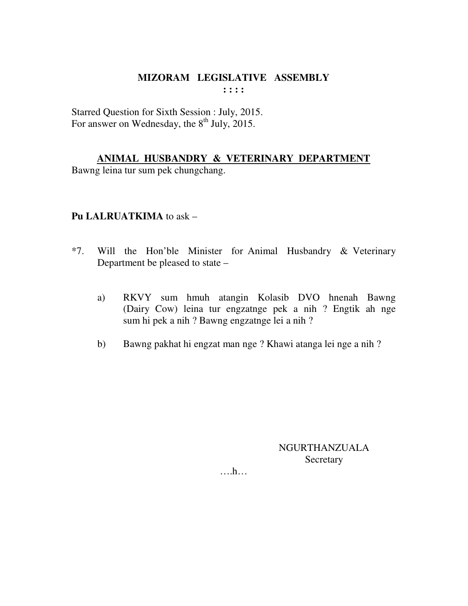Starred Question for Sixth Session : July, 2015. For answer on Wednesday, the  $8<sup>th</sup>$  July, 2015.

**ANIMAL HUSBANDRY & VETERINARY DEPARTMENT** Bawng leina tur sum pek chungchang.

#### **Pu LALRUATKIMA** to ask –

- \*7. Will the Hon'ble Minister for Animal Husbandry & Veterinary Department be pleased to state –
	- a) RKVY sum hmuh atangin Kolasib DVO hnenah Bawng (Dairy Cow) leina tur engzatnge pek a nih ? Engtik ah nge sum hi pek a nih ? Bawng engzatnge lei a nih ?
	- b) Bawng pakhat hi engzat man nge ? Khawi atanga lei nge a nih ?

NGURTHANZUALA **Secretary**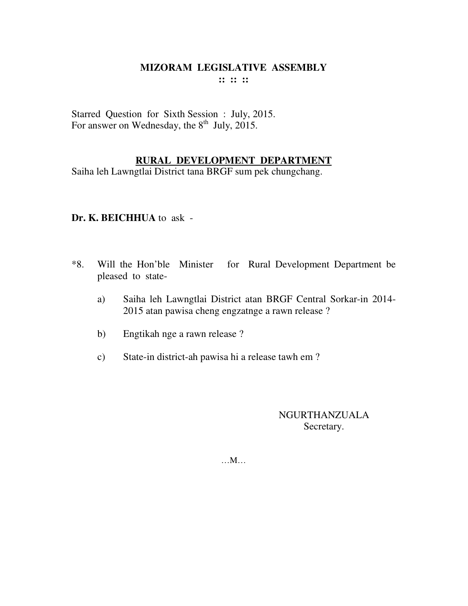Starred Question for Sixth Session : July, 2015. For answer on Wednesday, the  $8<sup>th</sup>$  July, 2015.

# **RURAL DEVELOPMENT DEPARTMENT**

Saiha leh Lawngtlai District tana BRGF sum pek chungchang.

# **Dr. K. BEICHHUA** to ask -

- \*8. Will the Hon'ble Minister for Rural Development Department be pleased to state
	- a) Saiha leh Lawngtlai District atan BRGF Central Sorkar-in 2014- 2015 atan pawisa cheng engzatnge a rawn release ?
	- b) Engtikah nge a rawn release ?
	- c) State-in district-ah pawisa hi a release tawh em ?

# NGURTHANZUALA Secretary.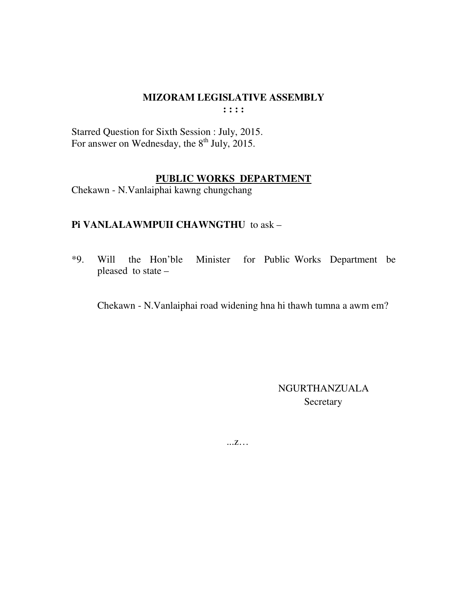# MIZORAM LEGISLATIVE ASSEMBLY

 $: : : :$ 

Starred Question for Sixth Session : July, 2015.<br>For answer on Wednesday, the 8<sup>th</sup> July, 2015.

#### PUBLIC WORKS DEPARTMENT

Chekawn - N.Vanlaiphai kawng chungchang

# Pi VANLALAWMPUII CHAWNGTHU to ask -

Will the Hon'ble Minister for Public Works Department be  $*9.$ pleased to state -

Chekawn - N.Vanlaiphai road widening hna hi thawh tumna a awm em?

NGURTHANZUALA Secretary

 $...Z...$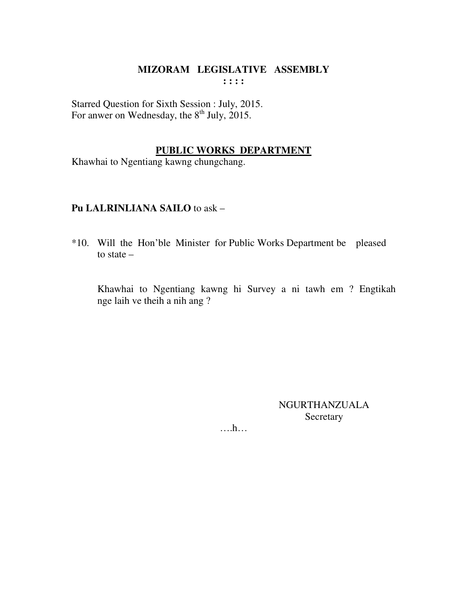Starred Question for Sixth Session : July, 2015. For anwer on Wednesday, the 8<sup>th</sup> July, 2015.

# **PUBLIC WORKS DEPARTMENT**

Khawhai to Ngentiang kawng chungchang.

# **Pu LALRINLIANA SAILO** to ask –

\*10. Will the Hon'ble Minister for Public Works Department be pleased to state –

 Khawhai to Ngentiang kawng hi Survey a ni tawh em ? Engtikah nge laih ve theih a nih ang ?

> NGURTHANZUALA Secretary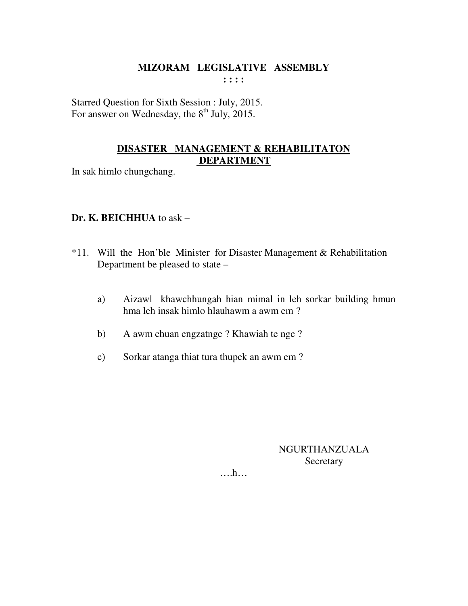Starred Question for Sixth Session : July, 2015. For answer on Wednesday, the  $8<sup>th</sup>$  July, 2015.

# **DISASTER MANAGEMENT & REHABILITATON DEPARTMENT**

In sak himlo chungchang.

# **Dr. K. BEICHHUA** to ask –

- \*11. Will the Hon'ble Minister for Disaster Management & Rehabilitation Department be pleased to state –
	- a) Aizawl khawchhungah hian mimal in leh sorkar building hmun hma leh insak himlo hlauhawm a awm em ?
	- b) A awm chuan engzatnge ? Khawiah te nge ?
	- c) Sorkar atanga thiat tura thupek an awm em ?

# NGURTHANZUALA **Secretary**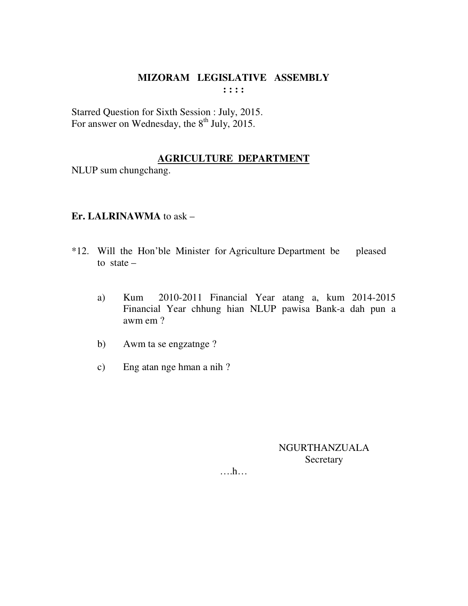Starred Question for Sixth Session : July, 2015. For answer on Wednesday, the  $8<sup>th</sup>$  July, 2015.

# **AGRICULTURE DEPARTMENT**

NLUP sum chungchang.

# **Er. LALRINAWMA** to ask –

- \*12. Will the Hon'ble Minister for Agriculture Department be pleased to state  $$ 
	- a) Kum 2010-2011 Financial Year atang a, kum 2014-2015 Financial Year chhung hian NLUP pawisa Bank-a dah pun a awm em ?
	- b) Awm ta se engzatnge ?
	- c) Eng atan nge hman a nih ?

NGURTHANZUALA Secretary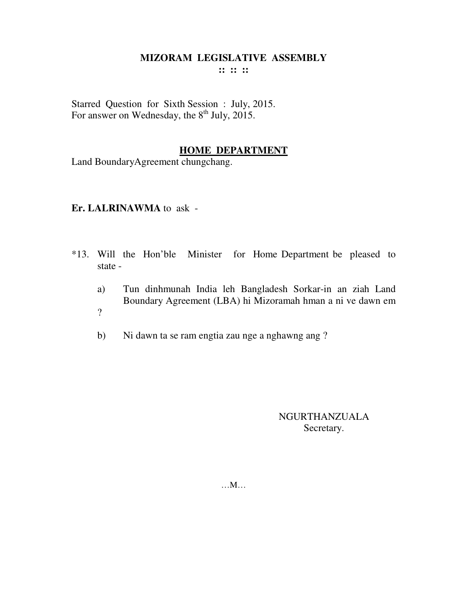# **MIZORAM LEGISLATIVE ASSEMBLY**

**:: :: ::** 

Starred Question for Sixth Session : July, 2015. For answer on Wednesday, the  $8<sup>th</sup>$  July, 2015.

#### **HOME DEPARTMENT**

Land BoundaryAgreement chungchang.

#### **Er. LALRINAWMA** to ask -

- \*13. Will the Hon'ble Minister for Home Department be pleased to state
	- a) Tun dinhmunah India leh Bangladesh Sorkar-in an ziah Land Boundary Agreement (LBA) hi Mizoramah hman a ni ve dawn em ?
	- b) Ni dawn ta se ram engtia zau nge a nghawng ang ?

NGURTHANZUALA Secretary.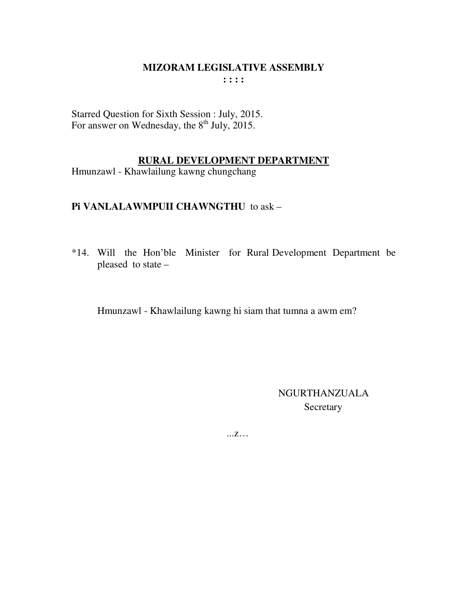Starred Question for Sixth Session : July, 2015.<br>For answer on Wednesday, the 8<sup>th</sup> July, 2015.

#### RURAL DEVELOPMENT DEPARTMENT

Hmunzawl - Khawlailung kawng chungchang

# Pi VANLALAWMPUII CHAWNGTHU to ask -

\*14. Will the Hon'ble Minister for Rural Development Department be pleased to state -

Hmunzawl - Khawlailung kawng hi siam that tumna a awm em?

**NGURTHANZUALA** Secretary

 $\dots Z\dots$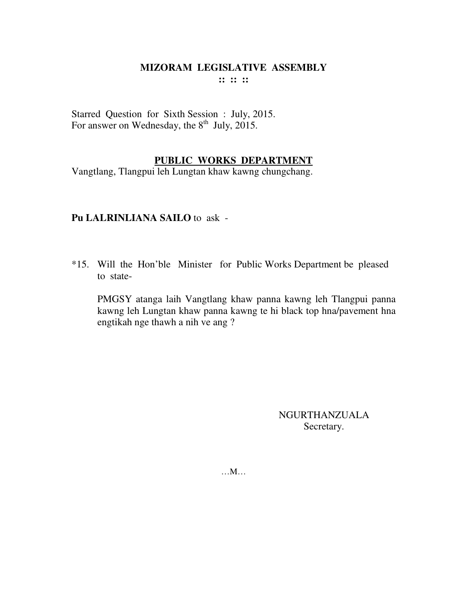Starred Question for Sixth Session : July, 2015. For answer on Wednesday, the  $8<sup>th</sup>$  July, 2015.

#### **PUBLIC WORKS DEPARTMENT**

Vangtlang, Tlangpui leh Lungtan khaw kawng chungchang.

# **Pu LALRINLIANA SAILO** to ask -

\*15. Will the Hon'ble Minister for Public Works Department be pleased to state-

 PMGSY atanga laih Vangtlang khaw panna kawng leh Tlangpui panna kawng leh Lungtan khaw panna kawng te hi black top hna/pavement hna engtikah nge thawh a nih ve ang ?

> NGURTHANZUALA Secretary.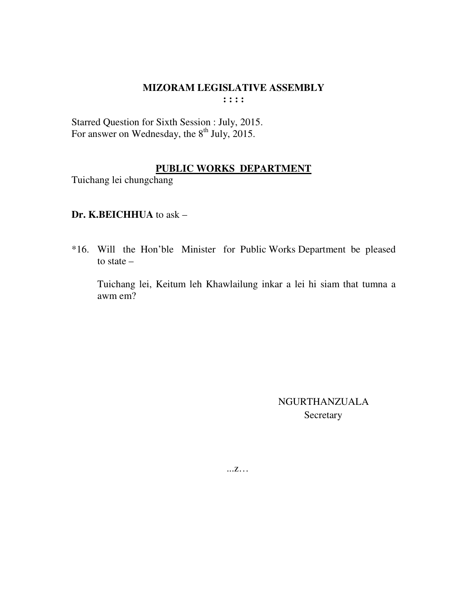Starred Question for Sixth Session : July, 2015. For answer on Wednesday, the  $8<sup>th</sup>$  July, 2015.

#### **PUBLIC WORKS DEPARTMENT**

Tuichang lei chungchang

# **Dr. K.BEICHHUA** to ask –

\*16. Will the Hon'ble Minister for Public Works Department be pleased to state –

 Tuichang lei, Keitum leh Khawlailung inkar a lei hi siam that tumna a awm em?

> NGURTHANZUALA Secretary

...z…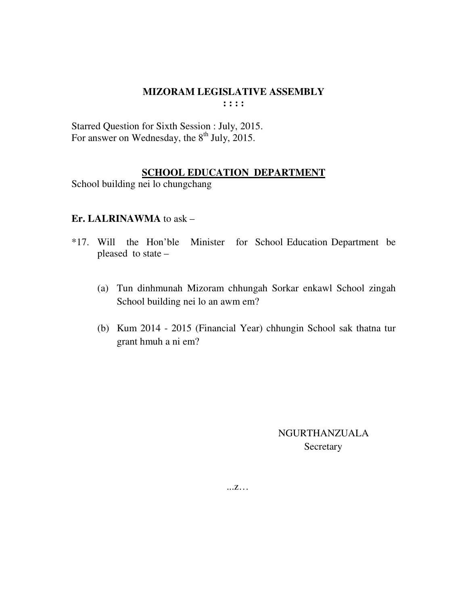Starred Question for Sixth Session : July, 2015. For answer on Wednesday, the  $8^{th}$  July, 2015.

# **SCHOOL EDUCATION DEPARTMENT**

School building nei lo chungchang

#### **Er. LALRINAWMA** to ask –

- \*17. Will the Hon'ble Minister for School Education Department be pleased to state –
	- (a) Tun dinhmunah Mizoram chhungah Sorkar enkawl School zingah School building nei lo an awm em?
	- (b) Kum 2014 2015 (Financial Year) chhungin School sak thatna tur grant hmuh a ni em?

 NGURTHANZUALA **Secretary** 

...z…